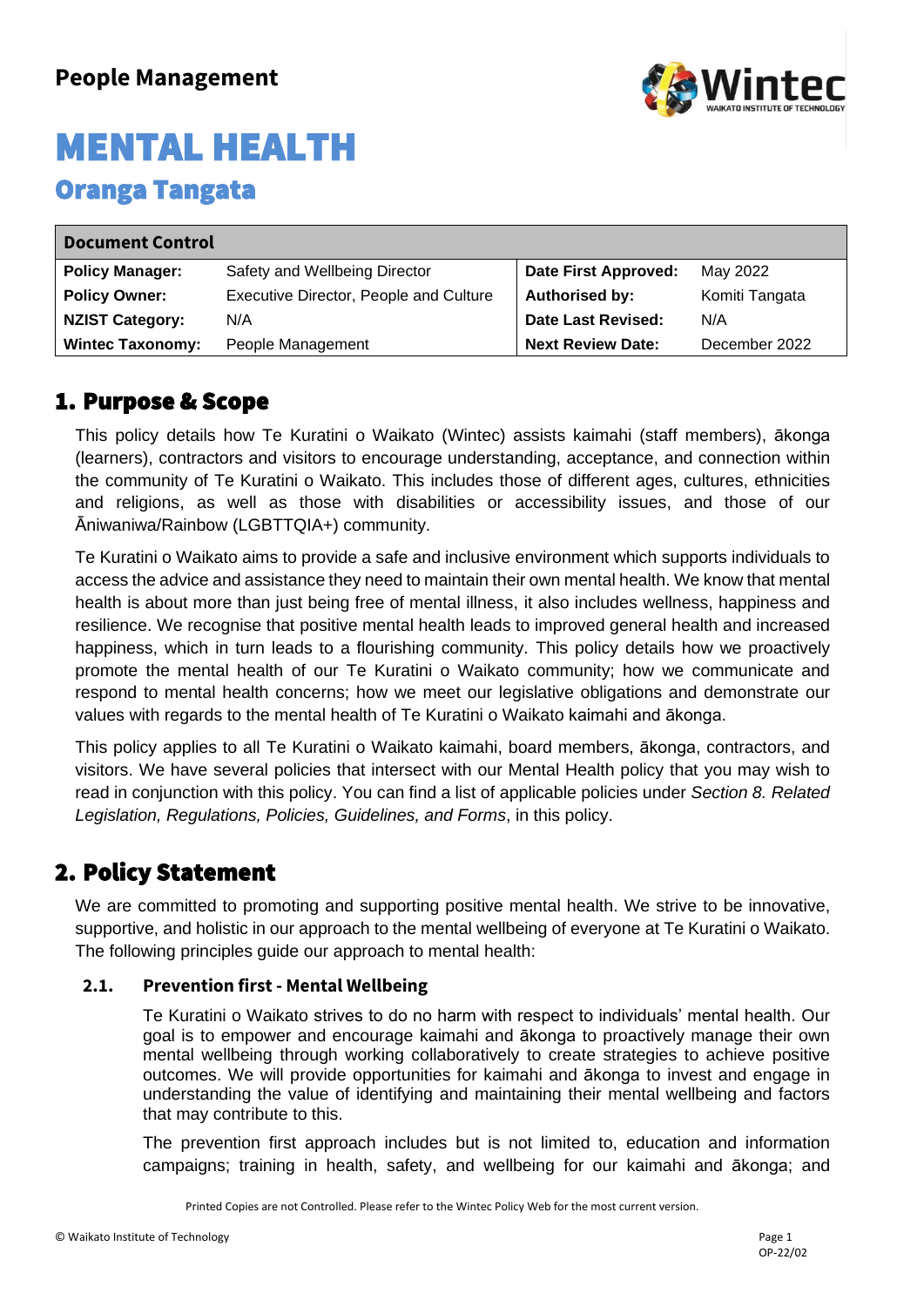

| <b>Document Control</b> |                                        |                             |                |
|-------------------------|----------------------------------------|-----------------------------|----------------|
| <b>Policy Manager:</b>  | Safety and Wellbeing Director          | <b>Date First Approved:</b> | May 2022       |
| <b>Policy Owner:</b>    | Executive Director, People and Culture | <b>Authorised by:</b>       | Komiti Tangata |
| <b>NZIST Category:</b>  | N/A                                    | Date Last Revised:          | N/A            |
| <b>Wintec Taxonomy:</b> | People Management                      | <b>Next Review Date:</b>    | December 2022  |

### 1. Purpose & Scope

This policy details how Te Kuratini o Waikato (Wintec) assists kaimahi (staff members), ākonga (learners), contractors and visitors to encourage understanding, acceptance, and connection within the community of Te Kuratini o Waikato. This includes those of different ages, cultures, ethnicities and religions, as well as those with disabilities or accessibility issues, and those of our Āniwaniwa/Rainbow (LGBTTQIA+) community.

Te Kuratini o Waikato aims to provide a safe and inclusive environment which supports individuals to access the advice and assistance they need to maintain their own mental health. We know that mental health is about more than just being free of mental illness, it also includes wellness, happiness and resilience. We recognise that positive mental health leads to improved general health and increased happiness, which in turn leads to a flourishing community. This policy details how we proactively promote the mental health of our Te Kuratini o Waikato community; how we communicate and respond to mental health concerns; how we meet our legislative obligations and demonstrate our values with regards to the mental health of Te Kuratini o Waikato kaimahi and ākonga.

This policy applies to all Te Kuratini o Waikato kaimahi, board members, ākonga, contractors, and visitors. We have several policies that intersect with our Mental Health policy that you may wish to read in conjunction with this policy. You can find a list of applicable policies under *Section 8. Related Legislation, Regulations, Policies, Guidelines, and Forms*, in this policy.

### 2. Policy Statement

We are committed to promoting and supporting positive mental health. We strive to be innovative, supportive, and holistic in our approach to the mental wellbeing of everyone at Te Kuratini o Waikato. The following principles guide our approach to mental health:

#### **2.1. Prevention first - Mental Wellbeing**

Te Kuratini o Waikato strives to do no harm with respect to individuals' mental health. Our goal is to empower and encourage kaimahi and ākonga to proactively manage their own mental wellbeing through working collaboratively to create strategies to achieve positive outcomes. We will provide opportunities for kaimahi and ākonga to invest and engage in understanding the value of identifying and maintaining their mental wellbeing and factors that may contribute to this.

The prevention first approach includes but is not limited to, education and information campaigns; training in health, safety, and wellbeing for our kaimahi and ākonga; and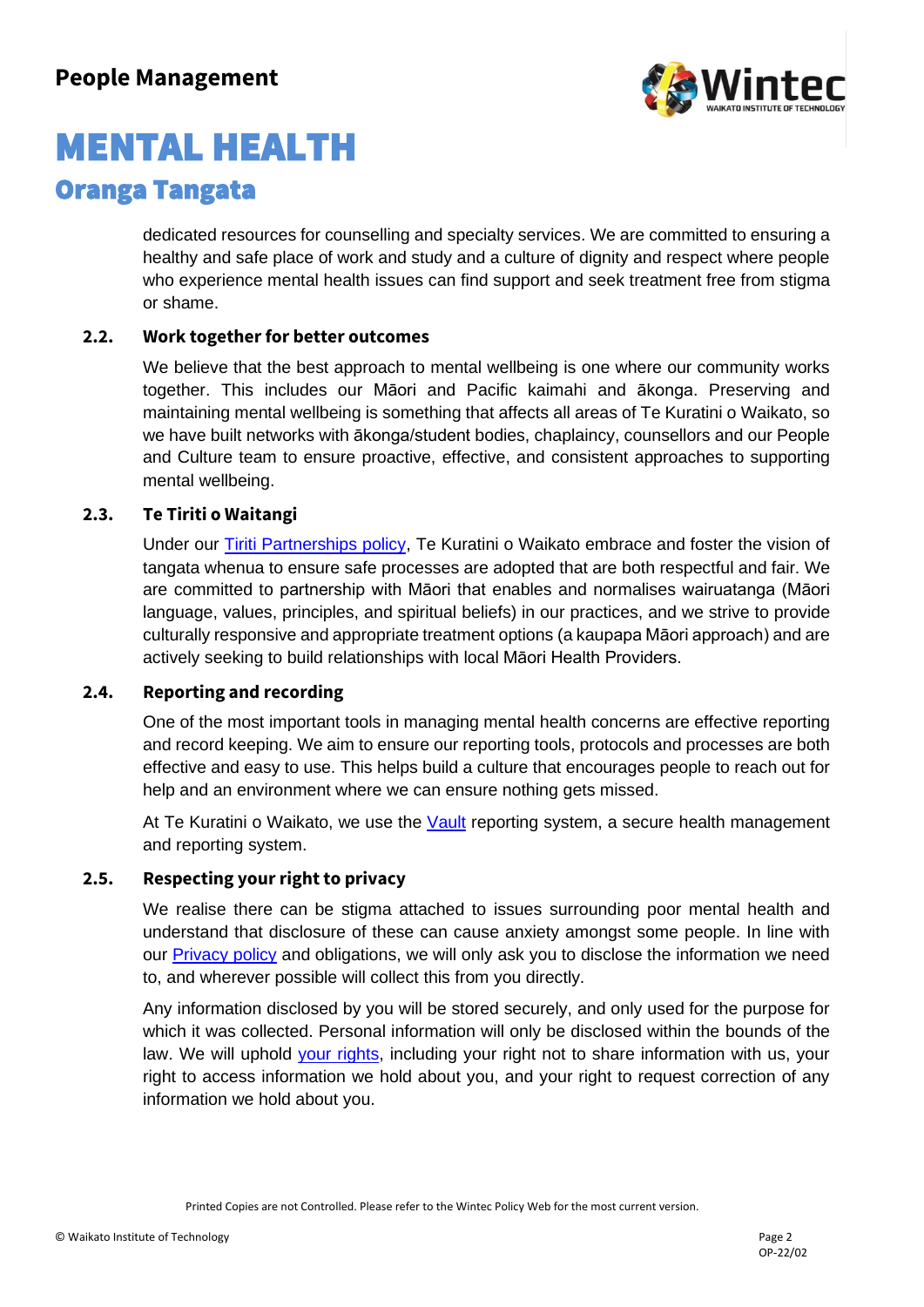

# MENTAL HEALTH

### Oranga Tangata

dedicated resources for counselling and specialty services. We are committed to ensuring a healthy and safe place of work and study and a culture of dignity and respect where people who experience mental health issues can find support and seek treatment free from stigma or shame.

### **2.2. Work together for better outcomes**

We believe that the best approach to mental wellbeing is one where our community works together. This includes our Māori and Pacific kaimahi and ākonga. Preserving and maintaining mental wellbeing is something that affects all areas of Te Kuratini o Waikato, so we have built networks with ākonga/student bodies, chaplaincy, counsellors and our People and Culture team to ensure proactive, effective, and consistent approaches to supporting mental wellbeing.

#### **2.3. Te Tiriti o Waitangi**

Under our [Tiriti Partnerships policy,](https://wintecprodpublicwebsite.blob.core.windows.net/sitefinity-storage/docs/default-source/student-life-documents/policies-and-forms-documents/tiriti-partnerships.pdf?sfvrsn=3be36530_3) Te Kuratini o Waikato embrace and foster the vision of tangata whenua to ensure safe processes are adopted that are both respectful and fair. We are committed to partnership with Māori that enables and normalises wairuatanga (Māori language, values, principles, and spiritual beliefs) in our practices, and we strive to provide culturally responsive and appropriate treatment options (a kaupapa Māori approach) and are actively seeking to build relationships with local Māori Health Providers.

#### **2.4. Reporting and recording**

One of the most important tools in managing mental health concerns are effective reporting and record keeping. We aim to ensure our reporting tools, protocols and processes are both effective and easy to use. This helps build a culture that encourages people to reach out for help and an environment where we can ensure nothing gets missed.

At Te Kuratini o Waikato, we use the [Vault](https://wintec-02.vaultgrc.com/kiosk/index?id=2uksjr4jvt2c3wnhvs3fjtnb9ye4nzn514tfglacn74j9r3whh04n58pt1nahfyi&cid=WINTEC) reporting system, a secure health management and reporting system.

### **2.5. Respecting your right to privacy**

We realise there can be stigma attached to issues surrounding poor mental health and understand that disclosure of these can cause anxiety amongst some people. In line with our [Privacy policy](https://wintecprodpublicwebsite.blob.core.windows.net/sitefinity-storage/docs/default-source/student-life-documents/policies-and-forms-documents/privacy-policy.pdf?sfvrsn=5c1c9e33_2) and obligations, we will only ask you to disclose the information we need to, and wherever possible will collect this from you directly.

Any information disclosed by you will be stored securely, and only used for the purpose for which it was collected. Personal information will only be disclosed within the bounds of the law. We will uphold your [rights,](https://www.privacy.org.nz/your-rights/your-privacy-rights/) including your right not to share information with us, your right to access information we hold about you, and your right to request correction of any information we hold about you.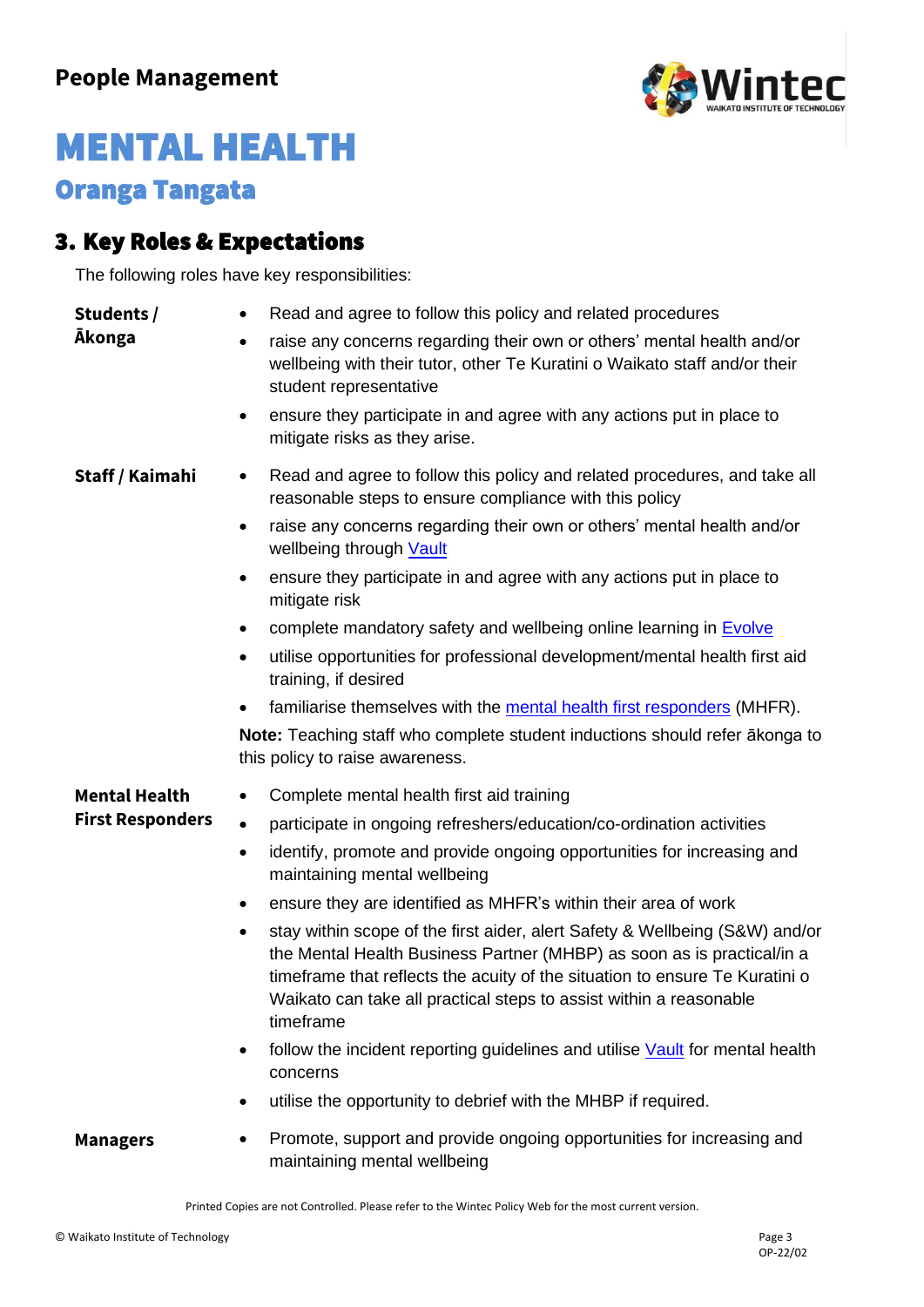

### 3. Key Roles & Expectations

The following roles have key responsibilities:

| Students /              | Read and agree to follow this policy and related procedures<br>$\bullet$                                                                                                                                                                                                                                                     |
|-------------------------|------------------------------------------------------------------------------------------------------------------------------------------------------------------------------------------------------------------------------------------------------------------------------------------------------------------------------|
| <b>Akonga</b>           | raise any concerns regarding their own or others' mental health and/or<br>wellbeing with their tutor, other Te Kuratini o Waikato staff and/or their<br>student representative                                                                                                                                               |
|                         | ensure they participate in and agree with any actions put in place to<br>$\bullet$<br>mitigate risks as they arise.                                                                                                                                                                                                          |
| Staff / Kaimahi         | Read and agree to follow this policy and related procedures, and take all<br>٠<br>reasonable steps to ensure compliance with this policy                                                                                                                                                                                     |
|                         | raise any concerns regarding their own or others' mental health and/or<br>٠<br>wellbeing through <b>Vault</b>                                                                                                                                                                                                                |
|                         | ensure they participate in and agree with any actions put in place to<br>٠<br>mitigate risk                                                                                                                                                                                                                                  |
|                         | complete mandatory safety and wellbeing online learning in <b>Evolve</b>                                                                                                                                                                                                                                                     |
|                         | utilise opportunities for professional development/mental health first aid<br>٠<br>training, if desired                                                                                                                                                                                                                      |
|                         | familiarise themselves with the mental health first responders (MHFR).                                                                                                                                                                                                                                                       |
|                         | Note: Teaching staff who complete student inductions should refer akonga to<br>this policy to raise awareness.                                                                                                                                                                                                               |
| <b>Mental Health</b>    | Complete mental health first aid training                                                                                                                                                                                                                                                                                    |
| <b>First Responders</b> | participate in ongoing refreshers/education/co-ordination activities<br>$\bullet$                                                                                                                                                                                                                                            |
|                         | identify, promote and provide ongoing opportunities for increasing and<br>$\bullet$<br>maintaining mental wellbeing                                                                                                                                                                                                          |
|                         | ensure they are identified as MHFR's within their area of work<br>٠                                                                                                                                                                                                                                                          |
|                         | stay within scope of the first aider, alert Safety & Wellbeing (S&W) and/or<br>٠<br>the Mental Health Business Partner (MHBP) as soon as is practical/in a<br>timeframe that reflects the acuity of the situation to ensure Te Kuratini o<br>Waikato can take all practical steps to assist within a reasonable<br>timeframe |
|                         | follow the incident reporting guidelines and utilise Vault for mental health<br>٠<br>concerns                                                                                                                                                                                                                                |
|                         | utilise the opportunity to debrief with the MHBP if required.<br>٠                                                                                                                                                                                                                                                           |
| <b>Managers</b>         | Promote, support and provide ongoing opportunities for increasing and<br>$\bullet$<br>maintaining mental wellbeing                                                                                                                                                                                                           |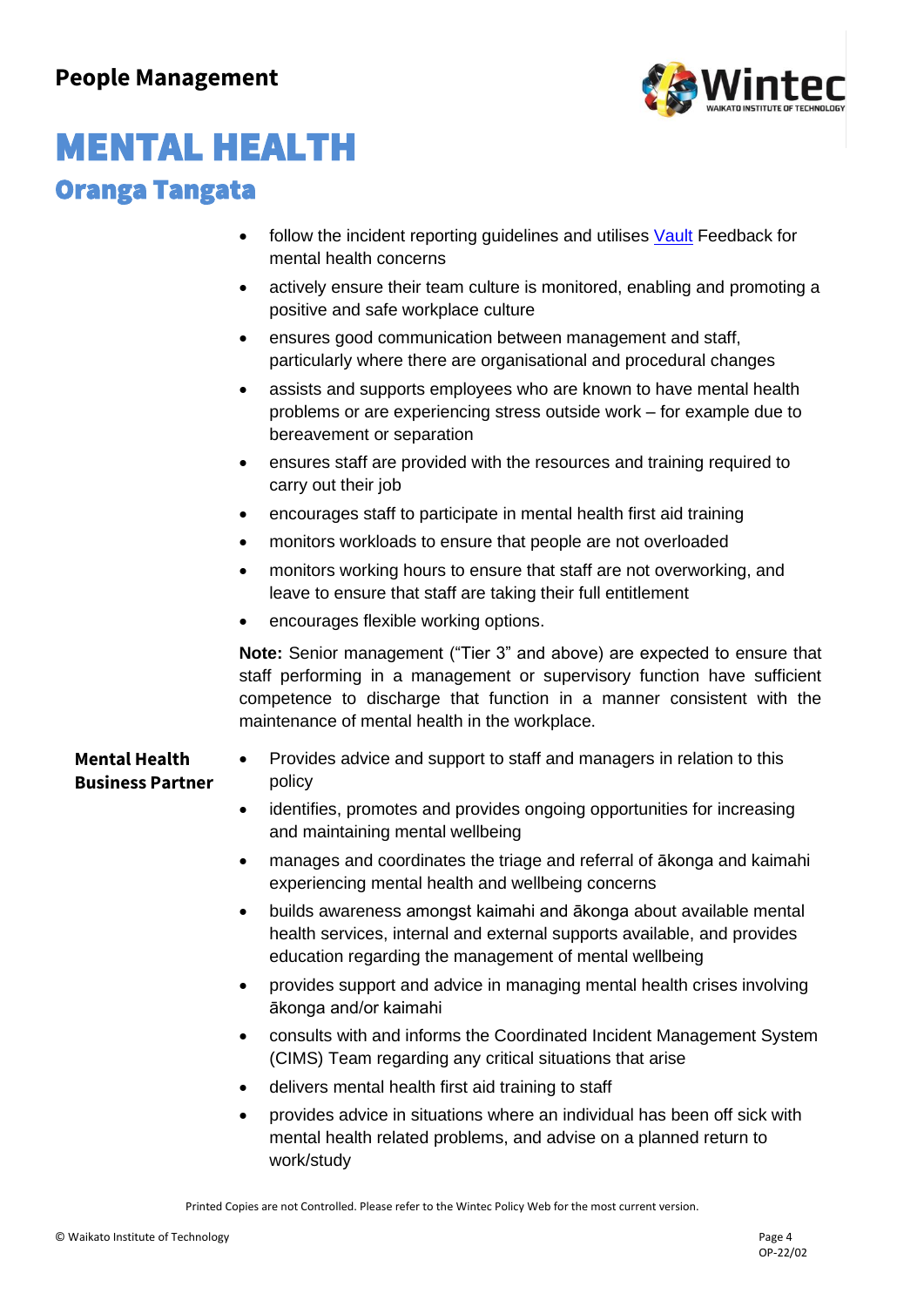

- follow the incident reporting guidelines and utilises [Vault](https://wintec-02.vaultgrc.com/kiosk/index?id=2uksjr4jvt2c3wnhvs3fjtnb9ye4nzn514tfglacn74j9r3whh04n58pt1nahfyi&cid=WINTEC) Feedback for mental health concerns
- actively ensure their team culture is monitored, enabling and promoting a positive and safe workplace culture
- ensures good communication between management and staff, particularly where there are organisational and procedural changes
- assists and supports employees who are known to have mental health problems or are experiencing stress outside work – for example due to bereavement or separation
- ensures staff are provided with the resources and training required to carry out their job
- encourages staff to participate in mental health first aid training
- monitors workloads to ensure that people are not overloaded
- monitors working hours to ensure that staff are not overworking, and leave to ensure that staff are taking their full entitlement
- encourages flexible working options.

**Note:** Senior management ("Tier 3" and above) are expected to ensure that staff performing in a management or supervisory function have sufficient competence to discharge that function in a manner consistent with the maintenance of mental health in the workplace.

### **Mental Health Business Partner**

- Provides advice and support to staff and managers in relation to this policy
- identifies, promotes and provides ongoing opportunities for increasing and maintaining mental wellbeing
- manages and coordinates the triage and referral of ākonga and kaimahi experiencing mental health and wellbeing concerns
- builds awareness amongst kaimahi and ākonga about available mental health services, internal and external supports available, and provides education regarding the management of mental wellbeing
- provides support and advice in managing mental health crises involving ākonga and/or kaimahi
- consults with and informs the Coordinated Incident Management System (CIMS) Team regarding any critical situations that arise
- delivers mental health first aid training to staff
- provides advice in situations where an individual has been off sick with mental health related problems, and advise on a planned return to work/study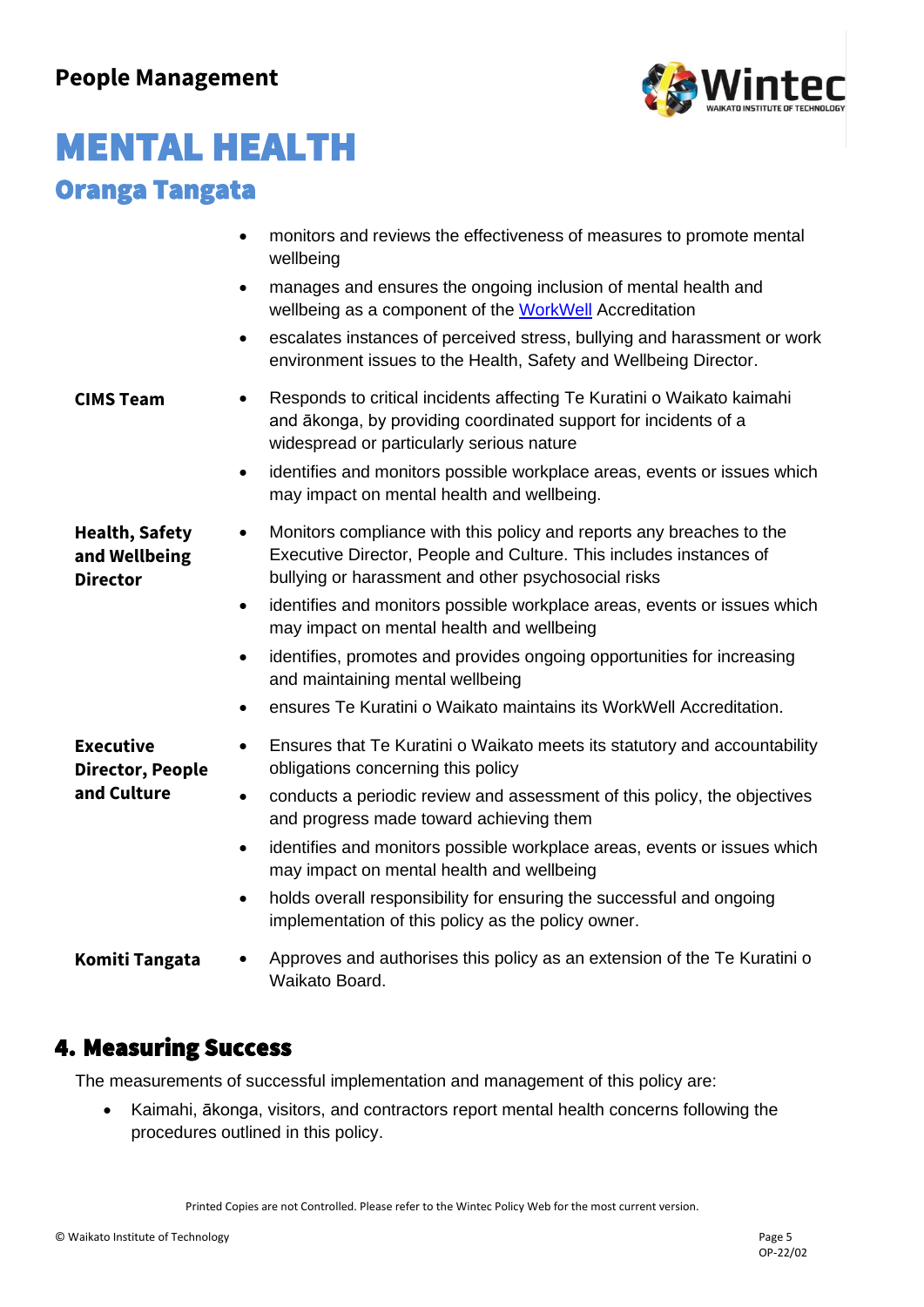

|                                                           | monitors and reviews the effectiveness of measures to promote mental<br>$\bullet$<br>wellbeing                                                                                                                 |
|-----------------------------------------------------------|----------------------------------------------------------------------------------------------------------------------------------------------------------------------------------------------------------------|
|                                                           | manages and ensures the ongoing inclusion of mental health and<br>$\bullet$<br>wellbeing as a component of the WorkWell Accreditation                                                                          |
|                                                           | escalates instances of perceived stress, bullying and harassment or work<br>$\bullet$<br>environment issues to the Health, Safety and Wellbeing Director.                                                      |
| <b>CIMS Team</b>                                          | Responds to critical incidents affecting Te Kuratini o Waikato kaimahi<br>$\bullet$<br>and ākonga, by providing coordinated support for incidents of a<br>widespread or particularly serious nature            |
|                                                           | identifies and monitors possible workplace areas, events or issues which<br>٠<br>may impact on mental health and wellbeing.                                                                                    |
| <b>Health, Safety</b><br>and Wellbeing<br><b>Director</b> | Monitors compliance with this policy and reports any breaches to the<br>$\bullet$<br>Executive Director, People and Culture. This includes instances of<br>bullying or harassment and other psychosocial risks |
|                                                           | identifies and monitors possible workplace areas, events or issues which<br>$\bullet$<br>may impact on mental health and wellbeing                                                                             |
|                                                           | identifies, promotes and provides ongoing opportunities for increasing<br>$\bullet$<br>and maintaining mental wellbeing                                                                                        |
|                                                           | ensures Te Kuratini o Waikato maintains its WorkWell Accreditation.<br>$\bullet$                                                                                                                               |
| <b>Executive</b><br><b>Director, People</b>               | Ensures that Te Kuratini o Waikato meets its statutory and accountability<br>$\bullet$<br>obligations concerning this policy                                                                                   |
| and Culture                                               | conducts a periodic review and assessment of this policy, the objectives<br>$\bullet$<br>and progress made toward achieving them                                                                               |
|                                                           | identifies and monitors possible workplace areas, events or issues which<br>$\bullet$<br>may impact on mental health and wellbeing                                                                             |
|                                                           | holds overall responsibility for ensuring the successful and ongoing<br>$\bullet$<br>implementation of this policy as the policy owner.                                                                        |
| Komiti Tangata                                            | Approves and authorises this policy as an extension of the Te Kuratini o<br>Waikato Board.                                                                                                                     |
|                                                           |                                                                                                                                                                                                                |

### 4. Measuring Success

The measurements of successful implementation and management of this policy are:

• Kaimahi, ākonga, visitors, and contractors report mental health concerns following the procedures outlined in this policy.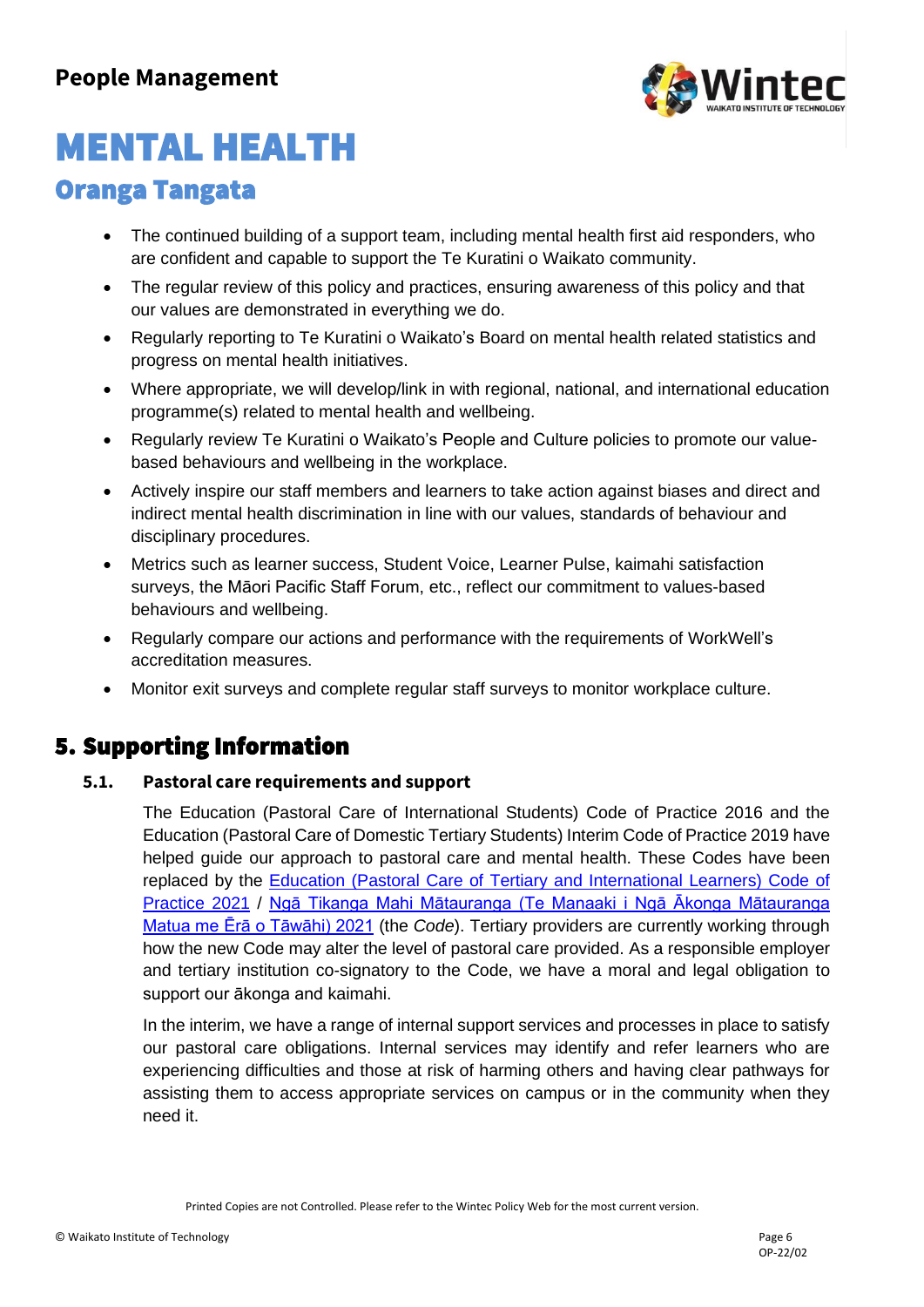

# MENTAL HEALTH

### Oranga Tangata

- The continued building of a support team, including mental health first aid responders, who are confident and capable to support the Te Kuratini o Waikato community.
- The regular review of this policy and practices, ensuring awareness of this policy and that our values are demonstrated in everything we do.
- Regularly reporting to Te Kuratini o Waikato's Board on mental health related statistics and progress on mental health initiatives.
- Where appropriate, we will develop/link in with regional, national, and international education programme(s) related to mental health and wellbeing.
- Regularly review Te Kuratini o Waikato's People and Culture policies to promote our valuebased behaviours and wellbeing in the workplace.
- Actively inspire our staff members and learners to take action against biases and direct and indirect mental health discrimination in line with our values, standards of behaviour and disciplinary procedures.
- Metrics such as learner success, Student Voice, Learner Pulse, kaimahi satisfaction surveys, the Māori Pacific Staff Forum, etc., reflect our commitment to values-based behaviours and wellbeing.
- Regularly compare our actions and performance with the requirements of WorkWell's accreditation measures.
- Monitor exit surveys and complete regular staff surveys to monitor workplace culture.

### 5. Supporting Information

#### **5.1. Pastoral care requirements and support**

The Education (Pastoral Care of International Students) Code of Practice 2016 and the Education (Pastoral Care of Domestic Tertiary Students) Interim Code of Practice 2019 have helped guide our approach to pastoral care and mental health. These Codes have been replaced by the [Education \(Pastoral Care of Tertiary and International Learners\) Code of](https://www.nzqa.govt.nz/assets/Providers-and-partners/Code-of-Practice/Tertiary-and-International-Learners-Code-2021/NZQA_Pastoral-Care-Code-of-Practice_English.pdf)  [Practice 2021](https://www.nzqa.govt.nz/assets/Providers-and-partners/Code-of-Practice/Tertiary-and-International-Learners-Code-2021/NZQA_Pastoral-Care-Code-of-Practice_English.pdf) / [Ngā Tikanga Mahi Mātauranga \(Te Manaaki i Ngā Ākonga Mātauranga](https://www.nzqa.govt.nz/assets/Providers-and-partners/Code-of-Practice/Tertiary-and-International-Learners-Code-2021/NZQA_Pastoral-Care-Code-of-Practice_Maori.pdf) [Matua me Ērā o Tāwāhi\) 2021](https://www.nzqa.govt.nz/assets/Providers-and-partners/Code-of-Practice/Tertiary-and-International-Learners-Code-2021/NZQA_Pastoral-Care-Code-of-Practice_Maori.pdf) (the *Code*). Tertiary providers are currently working through how the new Code may alter the level of pastoral care provided. As a responsible employer and tertiary institution co-signatory to the Code, we have a moral and legal obligation to support our ākonga and kaimahi.

In the interim, we have a range of internal support services and processes in place to satisfy our pastoral care obligations. Internal services may identify and refer learners who are experiencing difficulties and those at risk of harming others and having clear pathways for assisting them to access appropriate services on campus or in the community when they need it.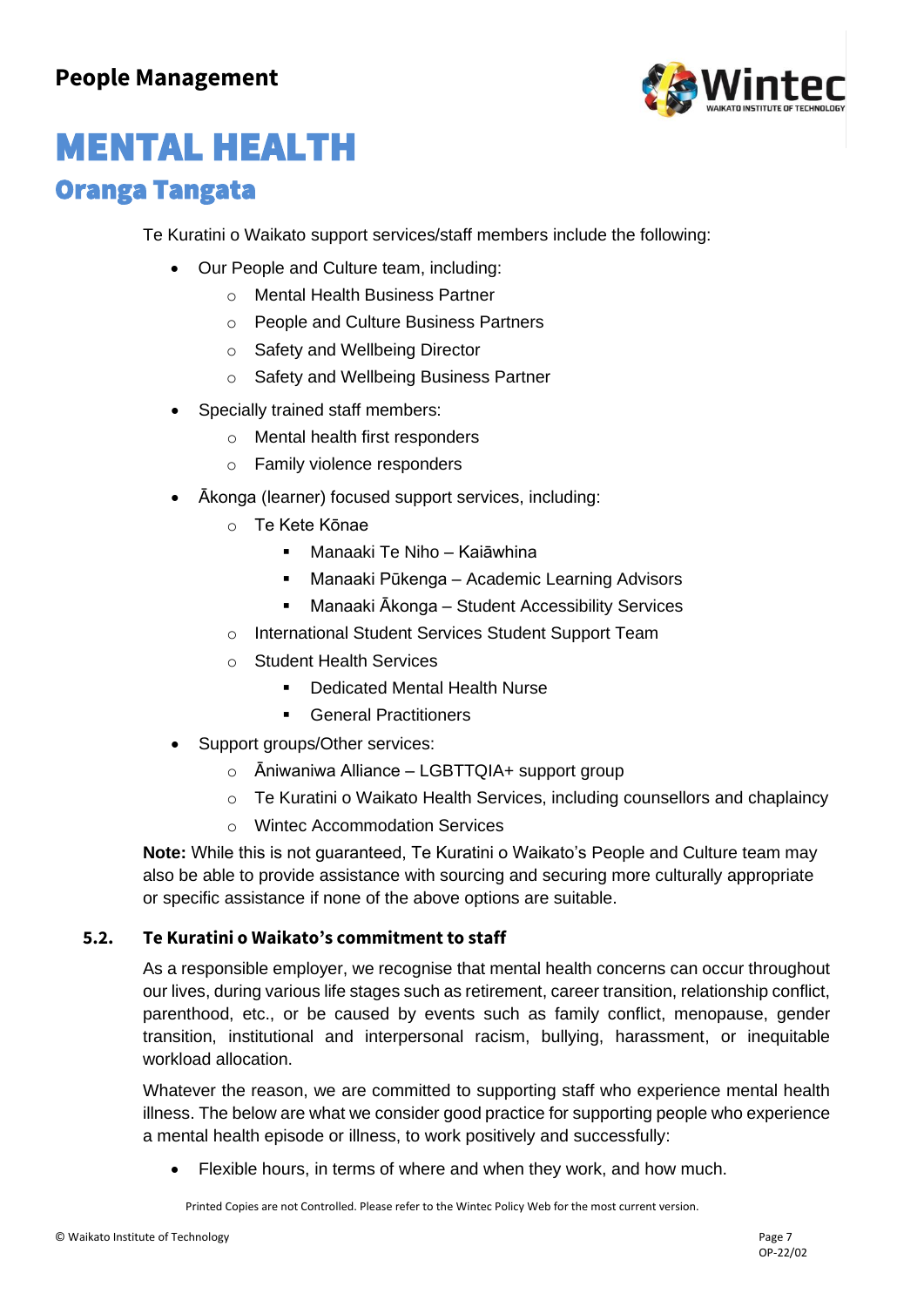

Te Kuratini o Waikato support services/staff members include the following:

- Our People and Culture team, including:
	- o Mental Health Business Partner
	- o People and Culture Business Partners
	- o Safety and Wellbeing Director
	- o Safety and Wellbeing Business Partner
- Specially trained staff members:
	- o Mental health first responders
	- o Family violence responders
- Ākonga (learner) focused support services, including:
	- o Te Kete Kōnae
		- Manaaki Te Niho Kaiāwhina
		- Manaaki Pūkenga Academic Learning Advisors
		- Manaaki Ākonga Student Accessibility Services
	- o International Student Services Student Support Team
	- o Student Health Services
		- Dedicated Mental Health Nurse
		- General Practitioners
- Support groups/Other services:
	- o Āniwaniwa Alliance LGBTTQIA+ support group
	- o Te Kuratini o Waikato Health Services, including counsellors and chaplaincy
	- o Wintec Accommodation Services

**Note:** While this is not guaranteed, Te Kuratini o Waikato's People and Culture team may also be able to provide assistance with sourcing and securing more culturally appropriate or specific assistance if none of the above options are suitable.

#### **5.2. Te Kuratini o Waikato's commitment to staff**

As a responsible employer, we recognise that mental health concerns can occur throughout our lives, during various life stages such as retirement, career transition, relationship conflict, parenthood, etc., or be caused by events such as family conflict, menopause, gender transition, institutional and interpersonal racism, bullying, harassment, or inequitable workload allocation.

Whatever the reason, we are committed to supporting staff who experience mental health illness. The below are what we consider good practice for supporting people who experience a mental health episode or illness, to work positively and successfully:

Flexible hours, in terms of where and when they work, and how much.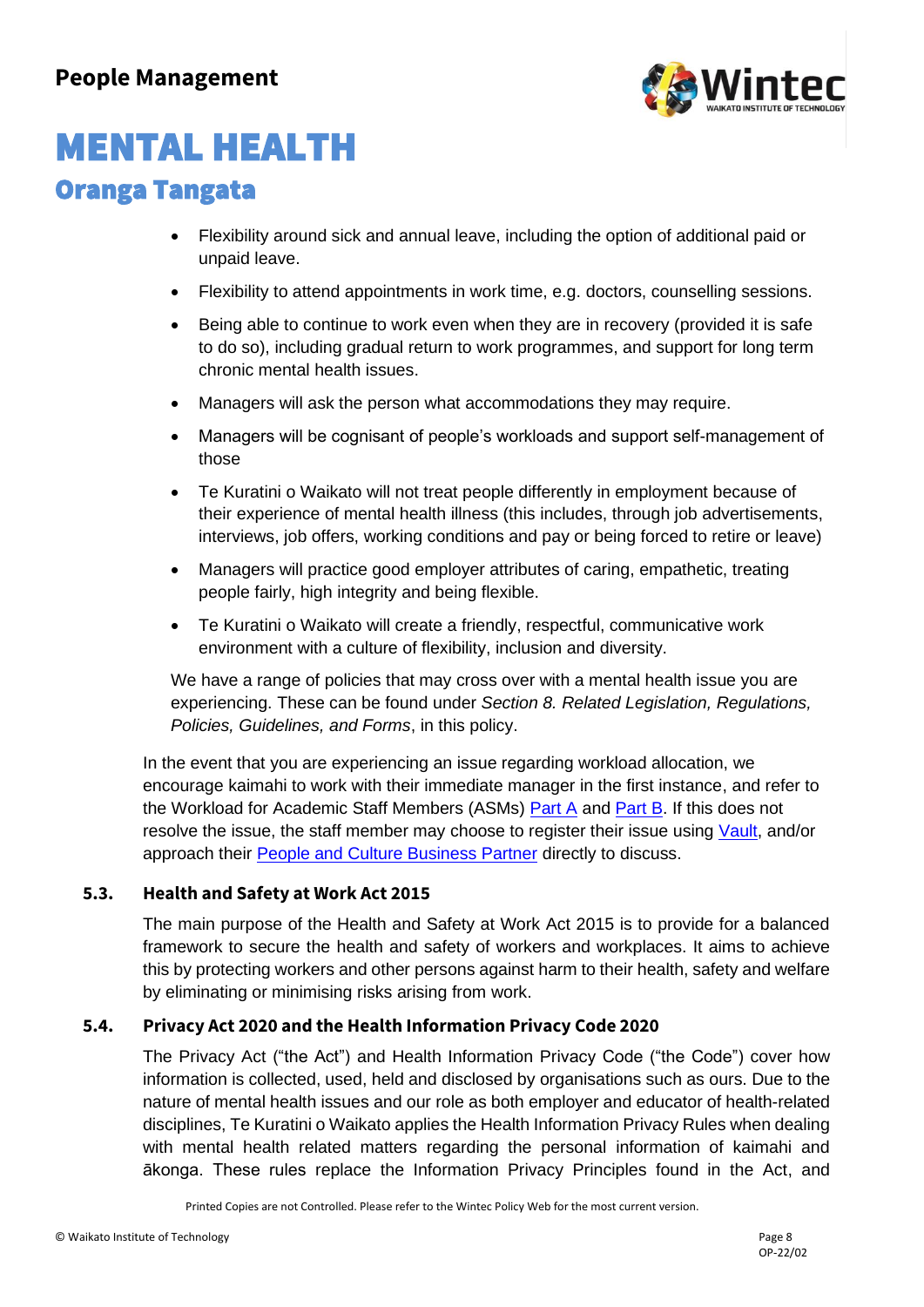

# MENTAL HEALTH

### Oranga Tangata

- Flexibility around sick and annual leave, including the option of additional paid or unpaid leave.
- Flexibility to attend appointments in work time, e.g. doctors, counselling sessions.
- Being able to continue to work even when they are in recovery (provided it is safe to do so), including gradual return to work programmes, and support for long term chronic mental health issues.
- Managers will ask the person what accommodations they may require.
- Managers will be cognisant of people's workloads and support self-management of those
- Te Kuratini o Waikato will not treat people differently in employment because of their experience of mental health illness (this includes, through job advertisements, interviews, job offers, working conditions and pay or being forced to retire or leave)
- Managers will practice good employer attributes of caring, empathetic, treating people fairly, high integrity and being flexible.
- Te Kuratini o Waikato will create a friendly, respectful, communicative work environment with a culture of flexibility, inclusion and diversity.

We have a range of policies that may cross over with a mental health issue you are experiencing. These can be found under *Section 8. Related Legislation, Regulations, Policies, Guidelines, and Forms*, in this policy.

In the event that you are experiencing an issue regarding workload allocation, we encourage kaimahi to work with their immediate manager in the first instance, and refer to the Workload for Academic Staff Members (ASMs) [Part A](https://wintecac.sharepoint.com/sites/gov/Policies/Workload%20for%20ASMs%20Part%20A.pdf?CT=1646096395996&OR=ItemsView) and [Part B.](https://wintecac.sharepoint.com/sites/gov/Policies/Workload%20for%20ASMs%20Part%20B.pdf?CT=1646096401296&OR=ItemsView) If this does not resolve the issue, the staff member may choose to register their issue using [Vault,](https://wintec-02.vaultgrc.com/kiosk/index?id=2uksjr4jvt2c3wnhvs3fjtnb9ye4nzn514tfglacn74j9r3whh04n58pt1nahfyi&cid=WINTEC) and/or approach their [People and Culture Business Partner](https://wintecac.sharepoint.com/SitePages/People-and-culture-contacts.aspx) directly to discuss.

### **5.3. Health and Safety at Work Act 2015**

The main purpose of the Health and Safety at Work Act 2015 is to provide for a balanced framework to secure the health and safety of workers and workplaces. It aims to achieve this by protecting workers and other persons against harm to their health, safety and welfare by eliminating or minimising risks arising from work.

### **5.4. Privacy Act 2020 and the Health Information Privacy Code 2020**

The Privacy Act ("the Act") and Health Information Privacy Code ("the Code") cover how information is collected, used, held and disclosed by organisations such as ours. Due to the nature of mental health issues and our role as both employer and educator of health-related disciplines, Te Kuratini o Waikato applies the Health Information Privacy Rules when dealing with mental health related matters regarding the personal information of kaimahi and ākonga. These rules replace the Information Privacy Principles found in the Act, and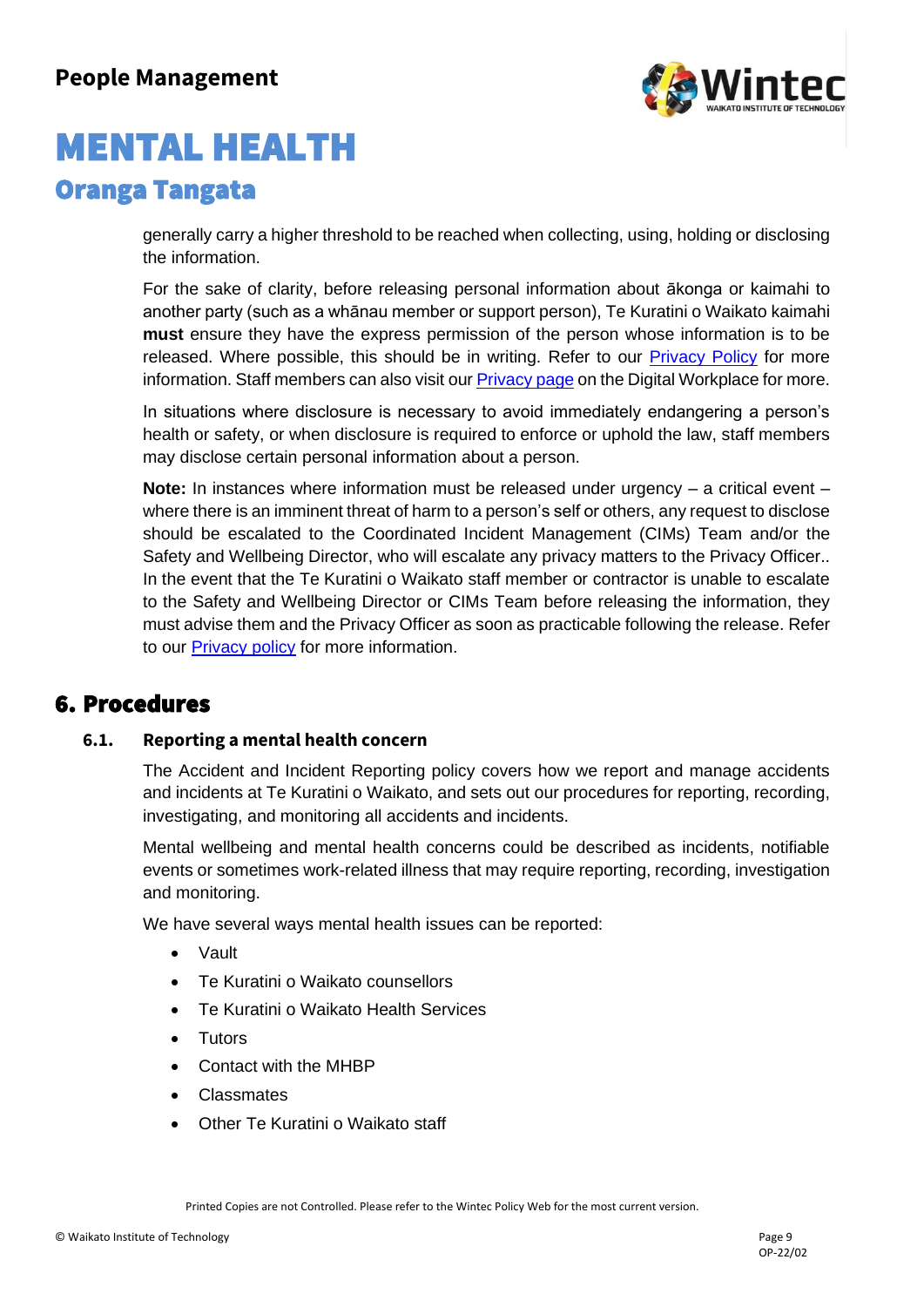

generally carry a higher threshold to be reached when collecting, using, holding or disclosing the information.

For the sake of clarity, before releasing personal information about ākonga or kaimahi to another party (such as a whānau member or support person), Te Kuratini o Waikato kaimahi **must** ensure they have the express permission of the person whose information is to be released. Where possible, this should be in writing. Refer to our [Privacy Policy](https://wintecprodpublicwebsite.blob.core.windows.net/sitefinity-storage/docs/default-source/student-life-documents/policies-and-forms-documents/privacy-policy.pdf?sfvrsn=5c1c9e33_2) for more information. Staff members can also visit our **[Privacy page](https://wintecac.sharepoint.com/SitePages/Privacy.aspx) on the Digital Workplace for more.** 

In situations where disclosure is necessary to avoid immediately endangering a person's health or safety, or when disclosure is required to enforce or uphold the law, staff members may disclose certain personal information about a person.

**Note:** In instances where information must be released under urgency – a critical event – where there is an imminent threat of harm to a person's self or others, any request to disclose should be escalated to the Coordinated Incident Management (CIMs) Team and/or the Safety and Wellbeing Director, who will escalate any privacy matters to the Privacy Officer.. In the event that the Te Kuratini o Waikato staff member or contractor is unable to escalate to the Safety and Wellbeing Director or CIMs Team before releasing the information, they must advise them and the Privacy Officer as soon as practicable following the release. Refer to our [Privacy policy](https://wintecprodpublicwebsite.blob.core.windows.net/sitefinity-storage/docs/default-source/student-life-documents/policies-and-forms-documents/privacy-policy.pdf?sfvrsn=5c1c9e33_2) for more information.

### 6. Procedures

#### **6.1. Reporting a mental health concern**

The Accident and Incident Reporting policy covers how we report and manage accidents and incidents at Te Kuratini o Waikato, and sets out our procedures for reporting, recording, investigating, and monitoring all accidents and incidents.

Mental wellbeing and mental health concerns could be described as incidents, notifiable events or sometimes work-related illness that may require reporting, recording, investigation and monitoring.

We have several ways mental health issues can be reported:

- Vault
- Te Kuratini o Waikato counsellors
- Te Kuratini o Waikato Health Services
- Tutors
- Contact with the MHBP
- Classmates
- Other Te Kuratini o Waikato staff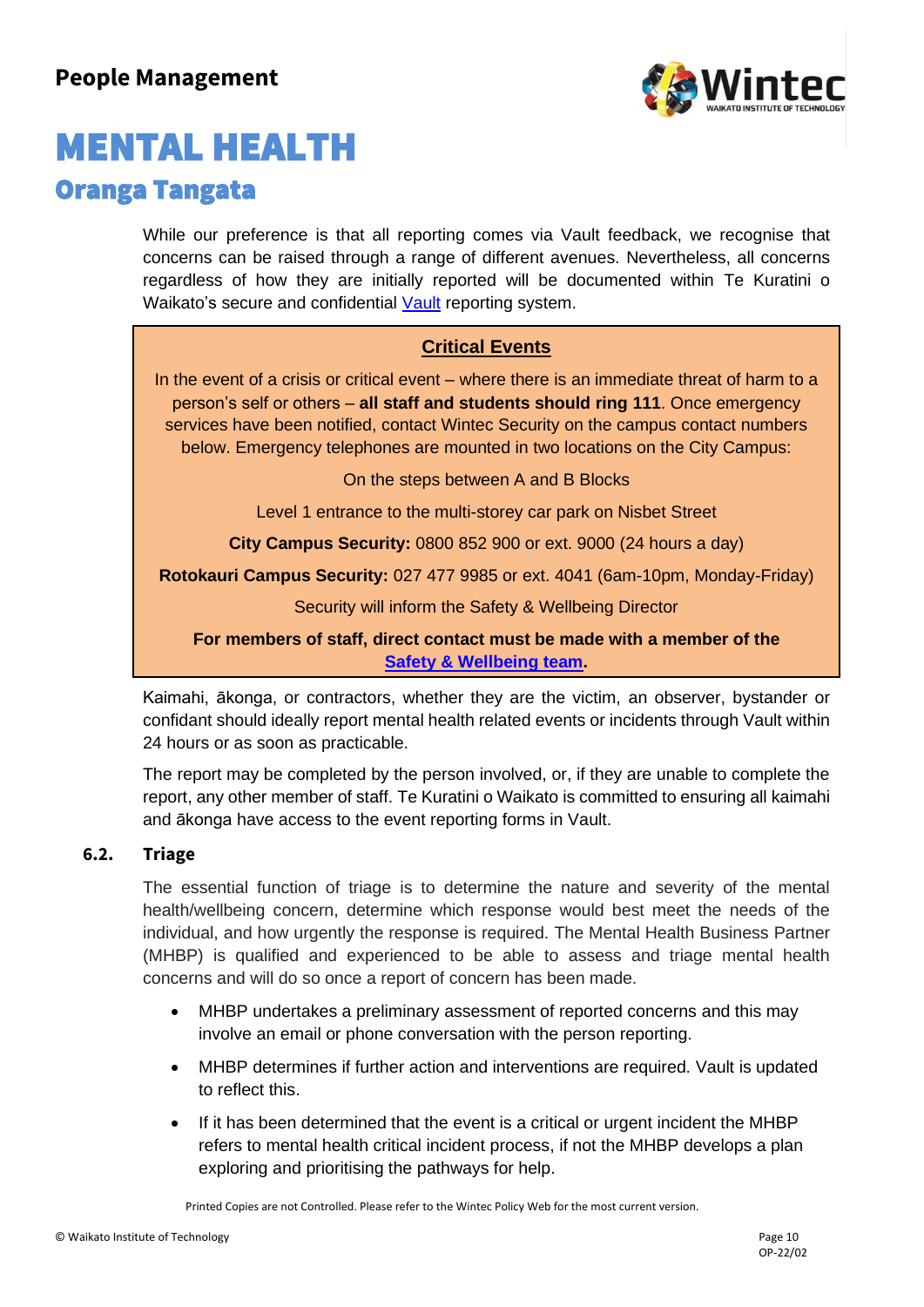

While our preference is that all reporting comes via Vault feedback, we recognise that concerns can be raised through a range of different avenues. Nevertheless, all concerns regardless of how they are initially reported will be documented within Te Kuratini o Waikato's secure and confidential [Vault](https://wintec-02.vaultgrc.com/kiosk/index?id=2uksjr4jvt2c3wnhvs3fjtnb9ye4nzn514tfglacn74j9r3whh04n58pt1nahfyi&cid=WINTEC) reporting system.

### **Critical Events**

In the event of a crisis or critical event – where there is an immediate threat of harm to a person's self or others – **all staff and students should ring 111**. Once emergency services have been notified, contact Wintec Security on the campus contact numbers below. Emergency telephones are mounted in two locations on the City Campus:

On the steps between A and B Blocks

Level 1 entrance to the multi-storey car park on Nisbet Street

**City Campus Security:** 0800 852 900 or ext. 9000 (24 hours a day)

**Rotokauri Campus Security:** 027 477 9985 or ext. 4041 (6am-10pm, Monday-Friday)

Security will inform the Safety & Wellbeing Director

#### **For members of staff, direct contact must be made with a member of the [Safety & Wellbeing team.](https://wintecac.sharepoint.com/SitePages/Safety-wellbeing-contacts.aspx)**

Kaimahi, ākonga, or contractors, whether they are the victim, an observer, bystander or confidant should ideally report mental health related events or incidents through Vault within 24 hours or as soon as practicable.

The report may be completed by the person involved, or, if they are unable to complete the report, any other member of staff. Te Kuratini o Waikato is committed to ensuring all kaimahi and ākonga have access to the event reporting forms in Vault.

#### **6.2. Triage**

The essential function of triage is to determine the nature and severity of the mental health/wellbeing concern, determine which response would best meet the needs of the individual, and how urgently the response is required. The Mental Health Business Partner (MHBP) is qualified and experienced to be able to assess and triage mental health concerns and will do so once a report of concern has been made.

- MHBP undertakes a preliminary assessment of reported concerns and this may involve an email or phone conversation with the person reporting.
- MHBP determines if further action and interventions are required. Vault is updated to reflect this.
- If it has been determined that the event is a critical or urgent incident the MHBP refers to mental health critical incident process, if not the MHBP develops a plan exploring and prioritising the pathways for help.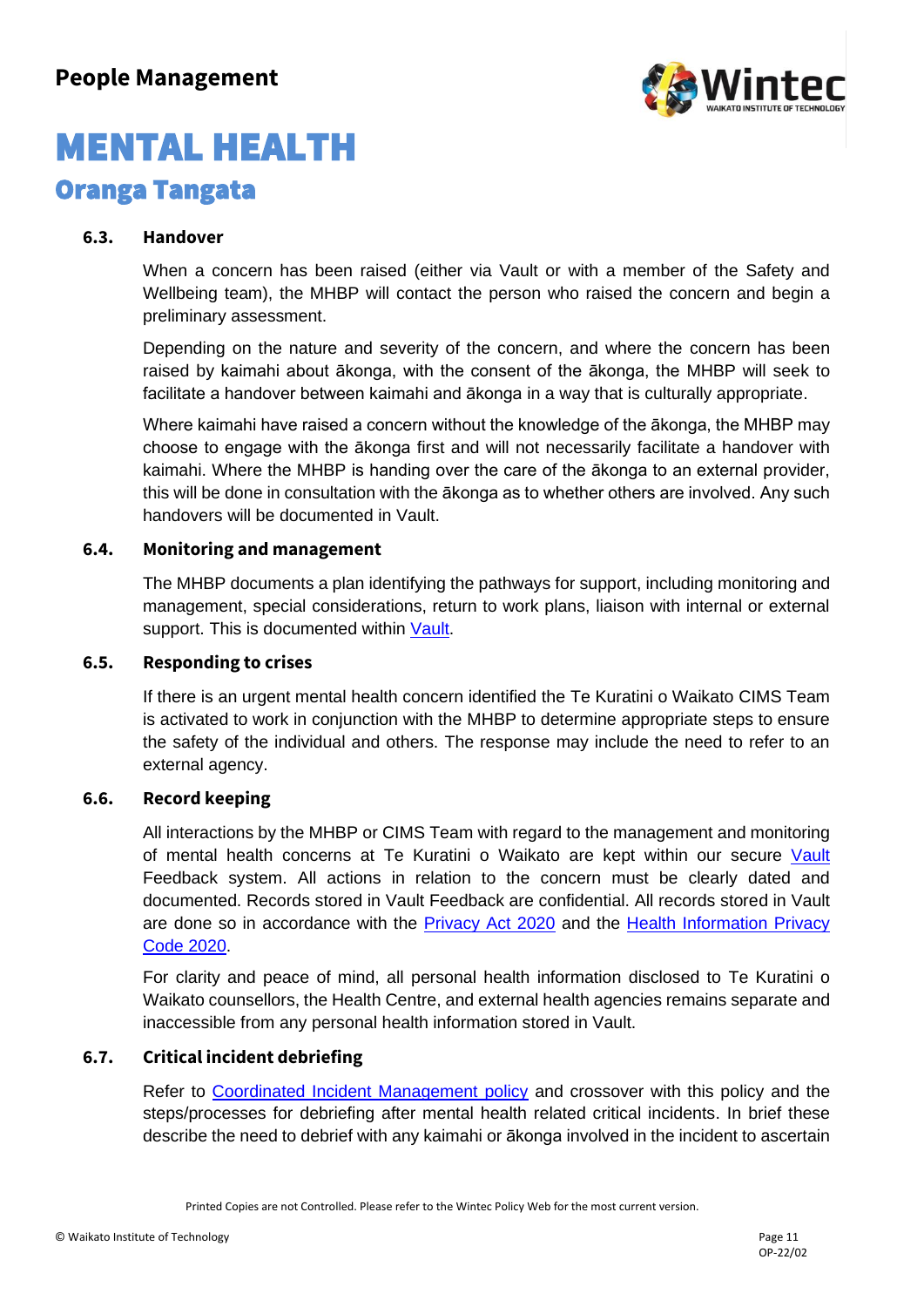

#### **6.3. Handover**

When a concern has been raised (either via Vault or with a member of the Safety and Wellbeing team), the MHBP will contact the person who raised the concern and begin a preliminary assessment.

Depending on the nature and severity of the concern, and where the concern has been raised by kaimahi about ākonga, with the consent of the ākonga, the MHBP will seek to facilitate a handover between kaimahi and ākonga in a way that is culturally appropriate.

Where kaimahi have raised a concern without the knowledge of the ākonga, the MHBP may choose to engage with the ākonga first and will not necessarily facilitate a handover with kaimahi. Where the MHBP is handing over the care of the ākonga to an external provider, this will be done in consultation with the ākonga as to whether others are involved. Any such handovers will be documented in Vault.

#### **6.4. Monitoring and management**

The MHBP documents a plan identifying the pathways for support, including monitoring and management, special considerations, return to work plans, liaison with internal or external support. This is documented within [Vault.](https://wintec-02.vaultgrc.com/kiosk/index?id=2uksjr4jvt2c3wnhvs3fjtnb9ye4nzn514tfglacn74j9r3whh04n58pt1nahfyi&cid=WINTEC)

#### **6.5. Responding to crises**

If there is an urgent mental health concern identified the Te Kuratini o Waikato CIMS Team is activated to work in conjunction with the MHBP to determine appropriate steps to ensure the safety of the individual and others. The response may include the need to refer to an external agency.

#### **6.6. Record keeping**

All interactions by the MHBP or CIMS Team with regard to the management and monitoring of mental health concerns at Te Kuratini o Waikato are kept within our secure [Vault](https://wintec-02.vaultgrc.com/kiosk/index?id=2uksjr4jvt2c3wnhvs3fjtnb9ye4nzn514tfglacn74j9r3whh04n58pt1nahfyi&cid=WINTEC) Feedback system. All actions in relation to the concern must be clearly dated and documented. Records stored in Vault Feedback are confidential. All records stored in Vault are done so in accordance with the [Privacy Act 2020](https://www.legislation.govt.nz/act/public/2020/0031/latest/LMS23223.html) and the [Health Information Privacy](https://www.privacy.org.nz/privacy-act-2020/codes-of-practice/hipc2020/)  [Code 2020.](https://www.privacy.org.nz/privacy-act-2020/codes-of-practice/hipc2020/)

For clarity and peace of mind, all personal health information disclosed to Te Kuratini o Waikato counsellors, the Health Centre, and external health agencies remains separate and inaccessible from any personal health information stored in Vault.

#### **6.7. Critical incident debriefing**

Refer to [Coordinated Incident Management policy](https://www.wintec.ac.nz/student-resources/policies-and-forms/policies/safety-and-wellbeing) and crossover with this policy and the steps/processes for debriefing after mental health related critical incidents. In brief these describe the need to debrief with any kaimahi or ākonga involved in the incident to ascertain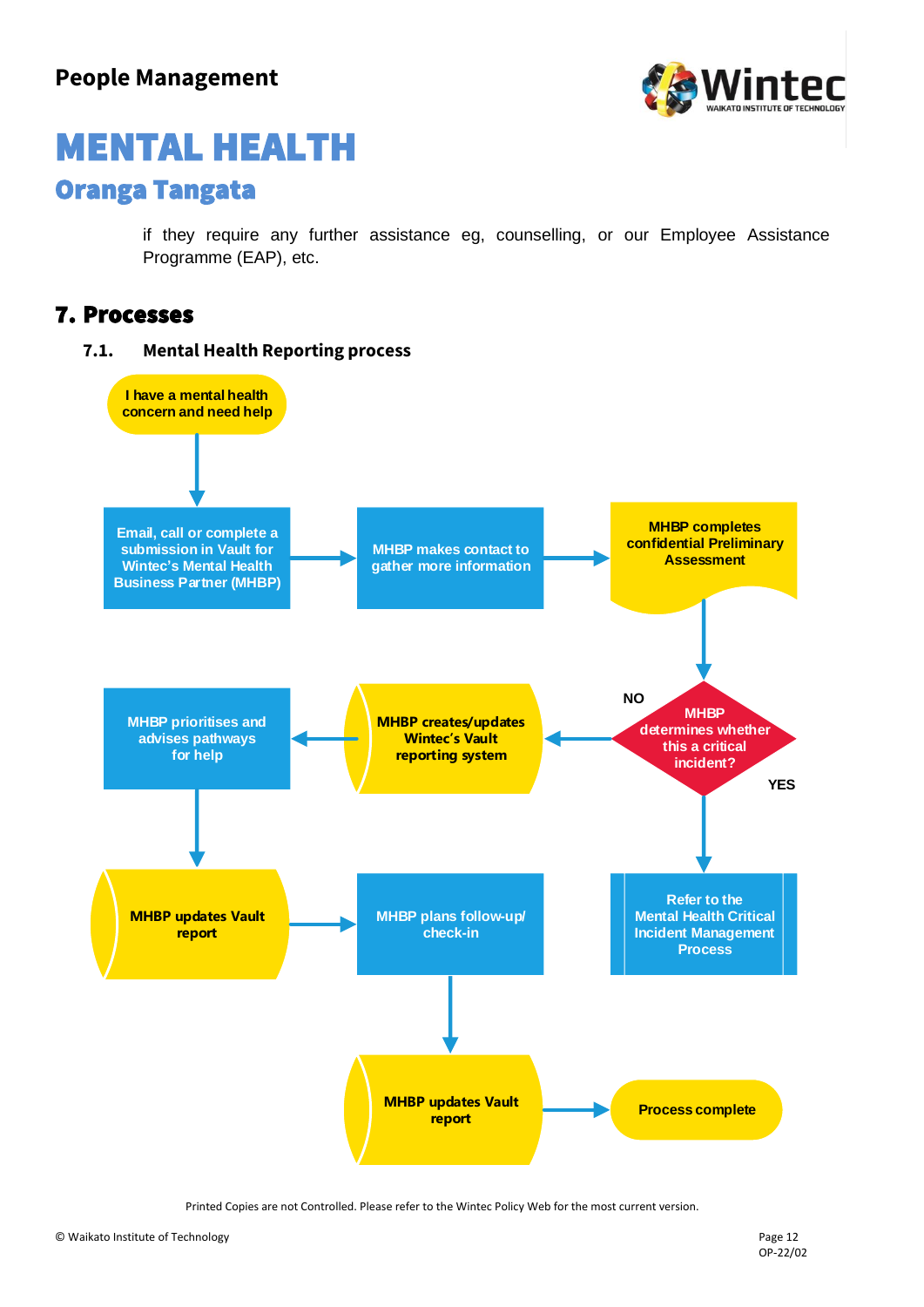

if they require any further assistance eg, counselling, or our Employee Assistance Programme (EAP), etc.

### 7. Processes

### **7.1. Mental Health Reporting process**

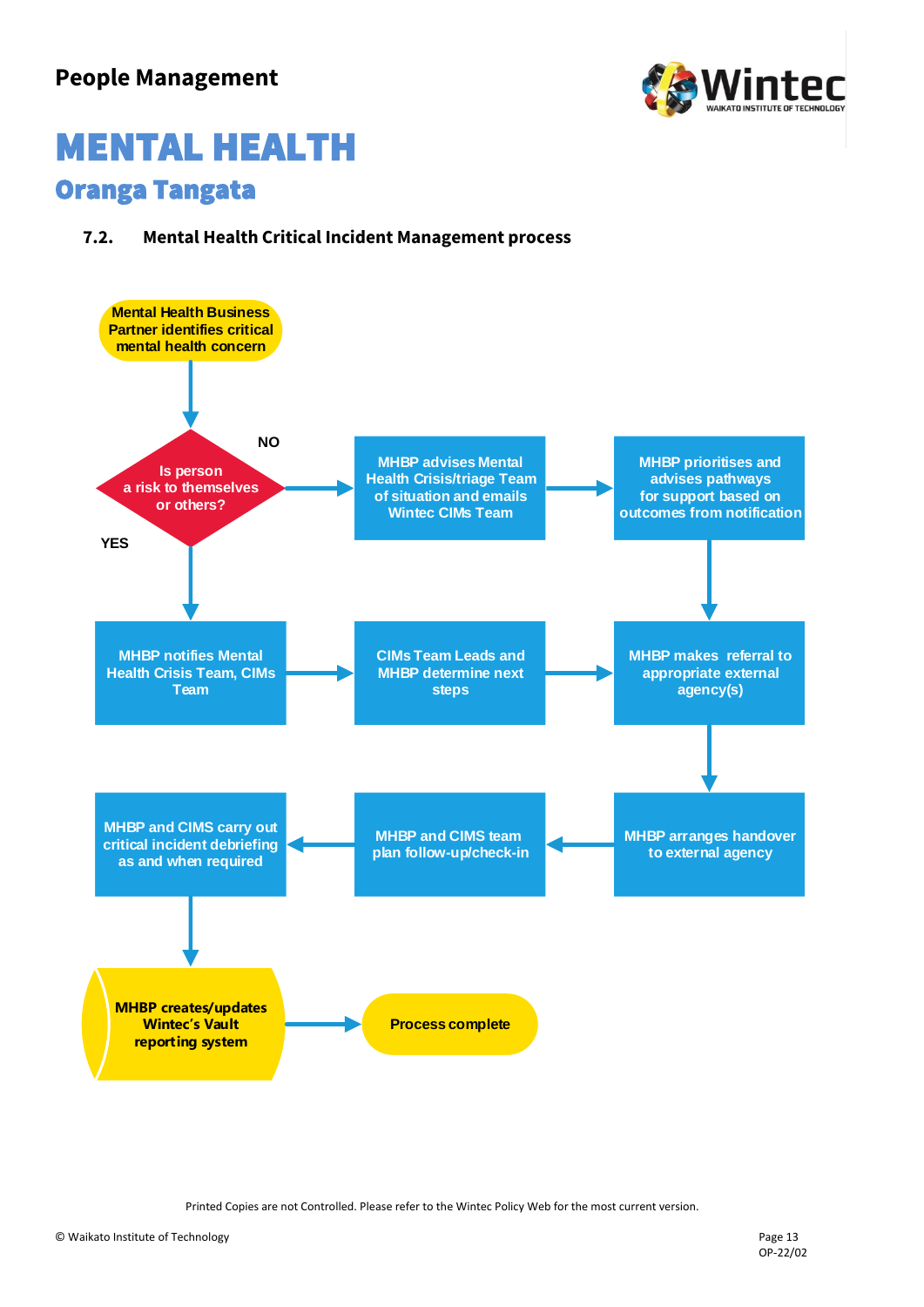

### **7.2. Mental Health Critical Incident Management process**

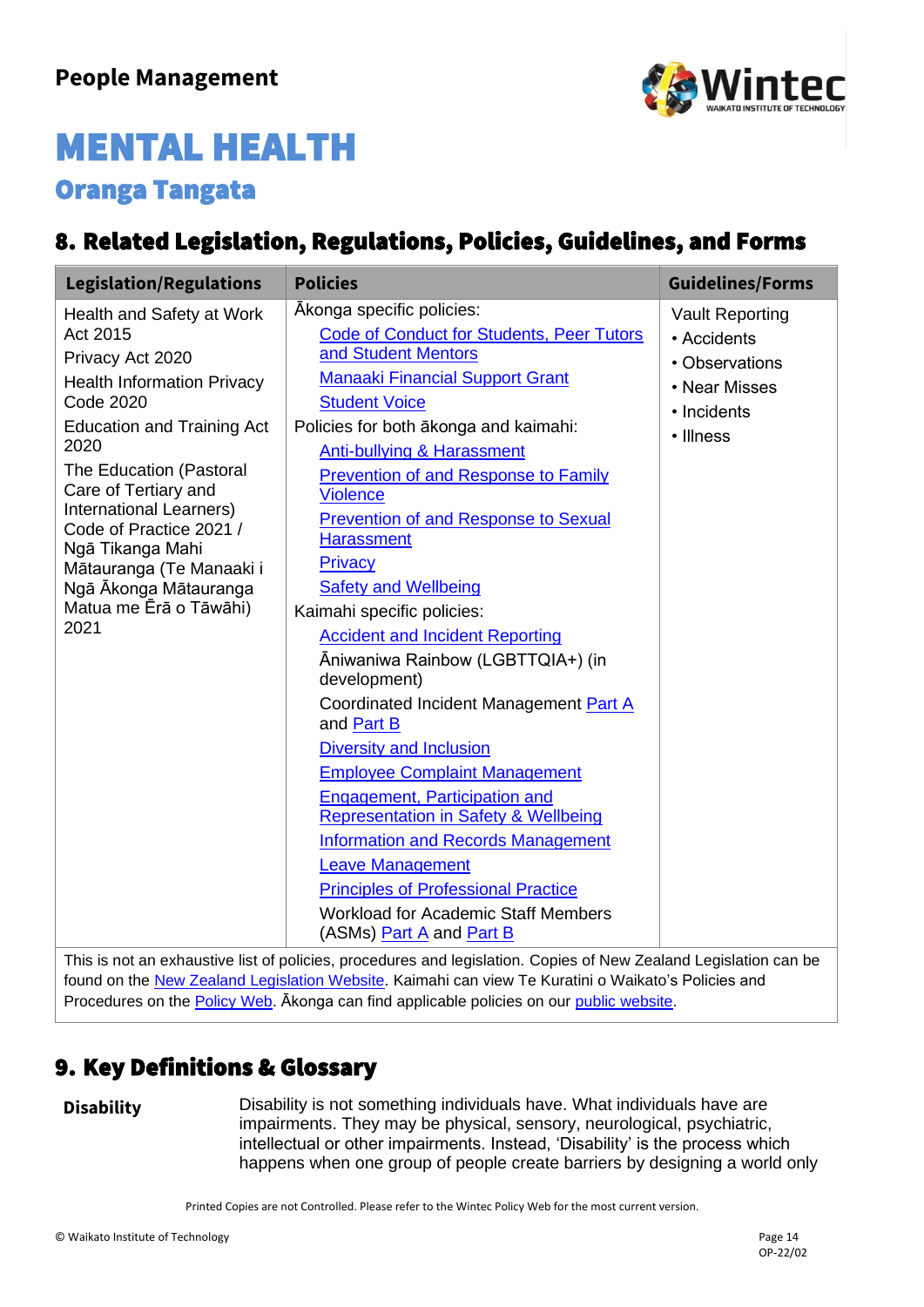

### 8. Related Legislation, Regulations, Policies, Guidelines, and Forms

| <b>Legislation/Regulations</b>                                                                                                                                                                                                                                                                                                                                                      | <b>Policies</b>                                                                                                                                                                                                                                                                                                                                                                                                                                                                                                                                                                                                                                                                                                                                                                                                                                                                                                                                                                         | <b>Guidelines/Forms</b>                                                                              |
|-------------------------------------------------------------------------------------------------------------------------------------------------------------------------------------------------------------------------------------------------------------------------------------------------------------------------------------------------------------------------------------|-----------------------------------------------------------------------------------------------------------------------------------------------------------------------------------------------------------------------------------------------------------------------------------------------------------------------------------------------------------------------------------------------------------------------------------------------------------------------------------------------------------------------------------------------------------------------------------------------------------------------------------------------------------------------------------------------------------------------------------------------------------------------------------------------------------------------------------------------------------------------------------------------------------------------------------------------------------------------------------------|------------------------------------------------------------------------------------------------------|
| Health and Safety at Work<br>Act 2015<br>Privacy Act 2020<br><b>Health Information Privacy</b><br><b>Code 2020</b><br><b>Education and Training Act</b><br>2020<br>The Education (Pastoral<br>Care of Tertiary and<br>International Learners)<br>Code of Practice 2021 /<br>Ngā Tikanga Mahi<br>Mātauranga (Te Manaaki i<br>Ngā Ākonga Mātauranga<br>Matua me Ērā o Tāwāhi)<br>2021 | Ākonga specific policies:<br>Code of Conduct for Students, Peer Tutors<br>and Student Mentors<br><b>Manaaki Financial Support Grant</b><br><b>Student Voice</b><br>Policies for both ākonga and kaimahi:<br>Anti-bullying & Harassment<br><b>Prevention of and Response to Family</b><br><b>Violence</b><br><b>Prevention of and Response to Sexual</b><br><b>Harassment</b><br>Privacy<br><b>Safety and Wellbeing</b><br>Kaimahi specific policies:<br><b>Accident and Incident Reporting</b><br>Āniwaniwa Rainbow (LGBTTQIA+) (in<br>development)<br>Coordinated Incident Management Part A<br>and Part B<br><b>Diversity and Inclusion</b><br><b>Employee Complaint Management</b><br>Engagement, Participation and<br><b>Representation in Safety &amp; Wellbeing</b><br><b>Information and Records Management</b><br><b>Leave Management</b><br><b>Principles of Professional Practice</b><br><b>Workload for Academic Staff Members</b><br>(ASMs) <b>Part A</b> and <b>Part B</b> | <b>Vault Reporting</b><br>• Accidents<br>• Observations<br>• Near Misses<br>• Incidents<br>• Illness |

This is not an exhaustive list of policies, procedures and legislation. Copies of New Zealand Legislation can be found on the [New Zealand Legislation Website.](https://www.legislation.govt.nz/act/public/2020/0031/latest/LMS23223.html) Kaimahi can view Te Kuratini o Waikato's Policies and Procedures on the [Policy Web.](https://wintecac.sharepoint.com/SitePages/Policies.aspx) Ākonga can find applicable policies on our [public website.](https://www.wintec.ac.nz/student-resources/policies-and-forms/policies/safety-and-wellbeing)

### 9. Key Definitions & Glossary

**Disability** Disability is not something individuals have. What individuals have are impairments. They may be physical, sensory, neurological, psychiatric, intellectual or other impairments. Instead, 'Disability' is the process which happens when one group of people create barriers by designing a world only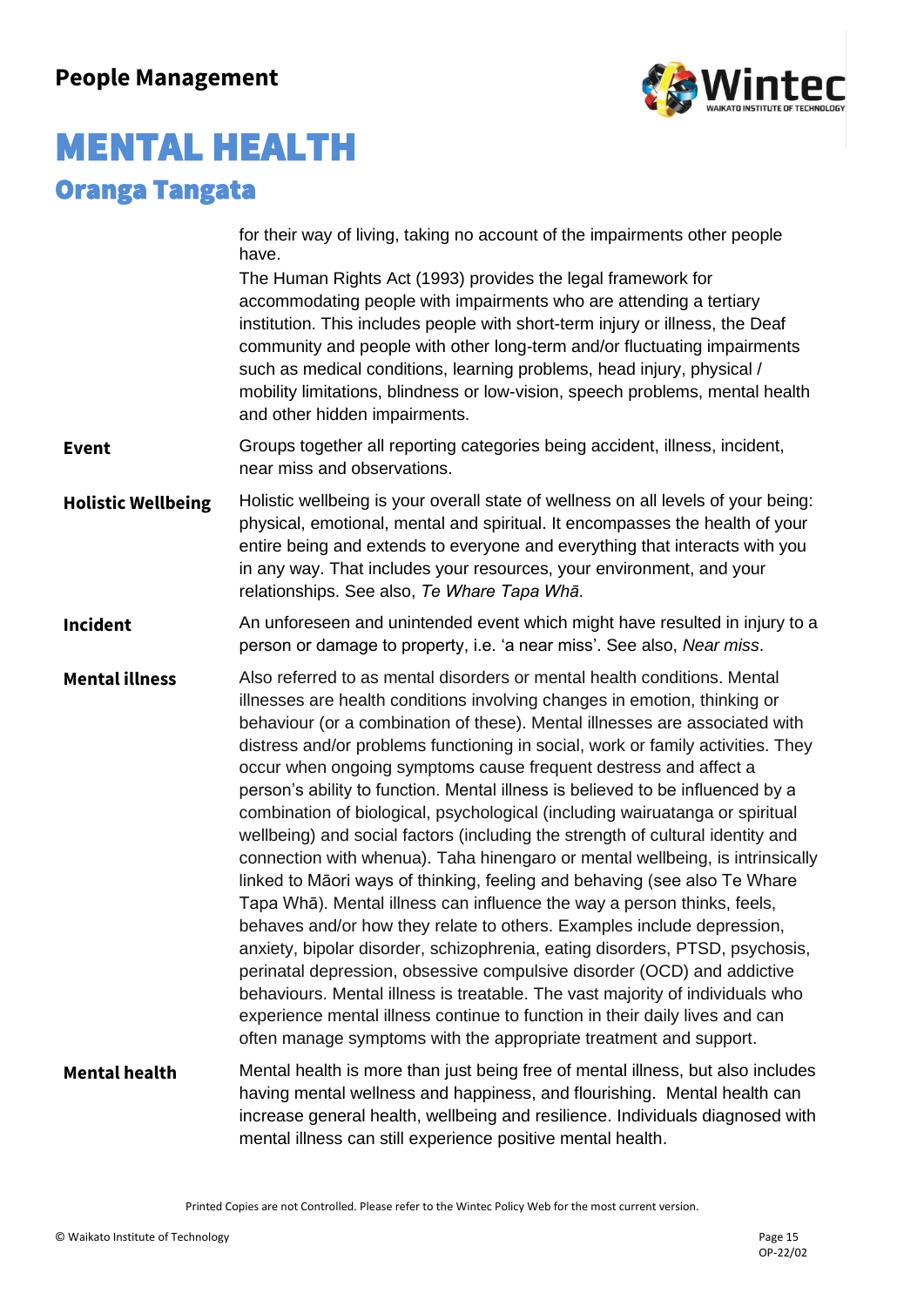

|                           | for their way of living, taking no account of the impairments other people<br>have.                                                                                                                                                                                                                                                                                                                                                                                                                                                                                                                                                                                                                                                                                                                                                                                                                                                                                                                                                                                                                                                                                                                                                                                                                                                                                |
|---------------------------|--------------------------------------------------------------------------------------------------------------------------------------------------------------------------------------------------------------------------------------------------------------------------------------------------------------------------------------------------------------------------------------------------------------------------------------------------------------------------------------------------------------------------------------------------------------------------------------------------------------------------------------------------------------------------------------------------------------------------------------------------------------------------------------------------------------------------------------------------------------------------------------------------------------------------------------------------------------------------------------------------------------------------------------------------------------------------------------------------------------------------------------------------------------------------------------------------------------------------------------------------------------------------------------------------------------------------------------------------------------------|
|                           | The Human Rights Act (1993) provides the legal framework for<br>accommodating people with impairments who are attending a tertiary<br>institution. This includes people with short-term injury or illness, the Deaf<br>community and people with other long-term and/or fluctuating impairments<br>such as medical conditions, learning problems, head injury, physical /<br>mobility limitations, blindness or low-vision, speech problems, mental health<br>and other hidden impairments.                                                                                                                                                                                                                                                                                                                                                                                                                                                                                                                                                                                                                                                                                                                                                                                                                                                                        |
| <b>Event</b>              | Groups together all reporting categories being accident, illness, incident,<br>near miss and observations.                                                                                                                                                                                                                                                                                                                                                                                                                                                                                                                                                                                                                                                                                                                                                                                                                                                                                                                                                                                                                                                                                                                                                                                                                                                         |
| <b>Holistic Wellbeing</b> | Holistic wellbeing is your overall state of wellness on all levels of your being:<br>physical, emotional, mental and spiritual. It encompasses the health of your<br>entire being and extends to everyone and everything that interacts with you<br>in any way. That includes your resources, your environment, and your<br>relationships. See also, Te Whare Tapa Whā.                                                                                                                                                                                                                                                                                                                                                                                                                                                                                                                                                                                                                                                                                                                                                                                                                                                                                                                                                                                            |
| <b>Incident</b>           | An unforeseen and unintended event which might have resulted in injury to a<br>person or damage to property, i.e. 'a near miss'. See also, Near miss.                                                                                                                                                                                                                                                                                                                                                                                                                                                                                                                                                                                                                                                                                                                                                                                                                                                                                                                                                                                                                                                                                                                                                                                                              |
| <b>Mental illness</b>     | Also referred to as mental disorders or mental health conditions. Mental<br>illnesses are health conditions involving changes in emotion, thinking or<br>behaviour (or a combination of these). Mental illnesses are associated with<br>distress and/or problems functioning in social, work or family activities. They<br>occur when ongoing symptoms cause frequent destress and affect a<br>person's ability to function. Mental illness is believed to be influenced by a<br>combination of biological, psychological (including wairuatanga or spiritual<br>wellbeing) and social factors (including the strength of cultural identity and<br>connection with whenua). Taha hinengaro or mental wellbeing, is intrinsically<br>linked to Māori ways of thinking, feeling and behaving (see also Te Whare<br>Tapa Whā). Mental illness can influence the way a person thinks, feels,<br>behaves and/or how they relate to others. Examples include depression,<br>anxiety, bipolar disorder, schizophrenia, eating disorders, PTSD, psychosis,<br>perinatal depression, obsessive compulsive disorder (OCD) and addictive<br>behaviours. Mental illness is treatable. The vast majority of individuals who<br>experience mental illness continue to function in their daily lives and can<br>often manage symptoms with the appropriate treatment and support. |
| <b>Mental health</b>      | Mental health is more than just being free of mental illness, but also includes<br>having mental wellness and happiness, and flourishing. Mental health can<br>increase general health, wellbeing and resilience. Individuals diagnosed with<br>mental illness can still experience positive mental health.                                                                                                                                                                                                                                                                                                                                                                                                                                                                                                                                                                                                                                                                                                                                                                                                                                                                                                                                                                                                                                                        |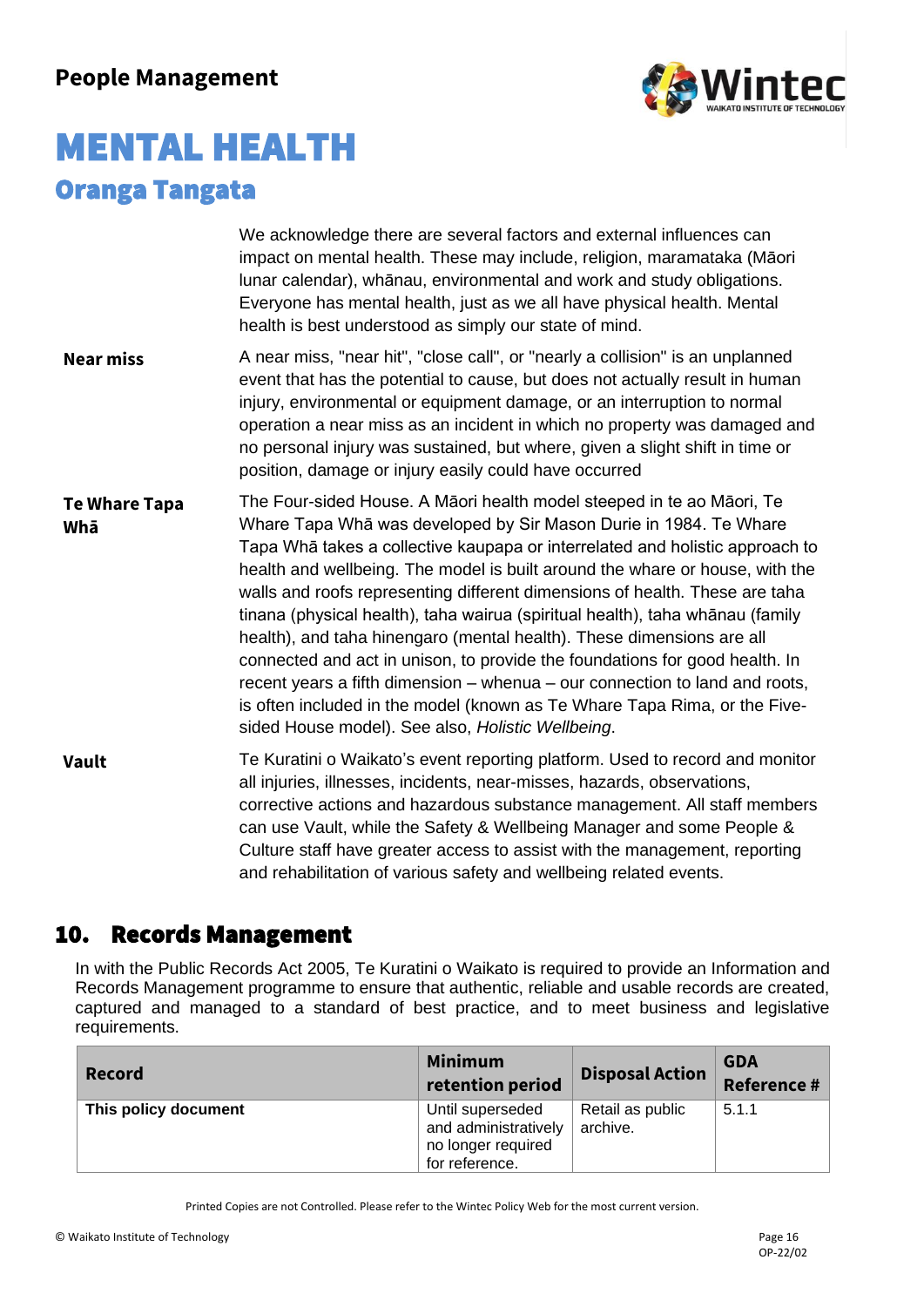

|                             | We acknowledge there are several factors and external influences can<br>impact on mental health. These may include, religion, maramataka (Māori<br>lunar calendar), whānau, environmental and work and study obligations.<br>Everyone has mental health, just as we all have physical health. Mental<br>health is best understood as simply our state of mind.                                                                                                                                                                                                                                                                                                                                                                                                                                                                                      |
|-----------------------------|-----------------------------------------------------------------------------------------------------------------------------------------------------------------------------------------------------------------------------------------------------------------------------------------------------------------------------------------------------------------------------------------------------------------------------------------------------------------------------------------------------------------------------------------------------------------------------------------------------------------------------------------------------------------------------------------------------------------------------------------------------------------------------------------------------------------------------------------------------|
| <b>Near miss</b>            | A near miss, "near hit", "close call", or "nearly a collision" is an unplanned<br>event that has the potential to cause, but does not actually result in human<br>injury, environmental or equipment damage, or an interruption to normal<br>operation a near miss as an incident in which no property was damaged and<br>no personal injury was sustained, but where, given a slight shift in time or<br>position, damage or injury easily could have occurred                                                                                                                                                                                                                                                                                                                                                                                     |
| <b>Te Whare Tapa</b><br>Whā | The Four-sided House. A Māori health model steeped in te ao Māori, Te<br>Whare Tapa Whā was developed by Sir Mason Durie in 1984. Te Whare<br>Tapa Whā takes a collective kaupapa or interrelated and holistic approach to<br>health and wellbeing. The model is built around the whare or house, with the<br>walls and roofs representing different dimensions of health. These are taha<br>tinana (physical health), taha wairua (spiritual health), taha whānau (family<br>health), and taha hinengaro (mental health). These dimensions are all<br>connected and act in unison, to provide the foundations for good health. In<br>recent years a fifth dimension – whenua – our connection to land and roots,<br>is often included in the model (known as Te Whare Tapa Rima, or the Five-<br>sided House model). See also, Holistic Wellbeing. |
| <b>Vault</b>                | Te Kuratini o Waikato's event reporting platform. Used to record and monitor<br>all injuries, illnesses, incidents, near-misses, hazards, observations,<br>corrective actions and hazardous substance management. All staff members<br>can use Vault, while the Safety & Wellbeing Manager and some People &<br>Culture staff have greater access to assist with the management, reporting<br>and rehabilitation of various safety and wellbeing related events.                                                                                                                                                                                                                                                                                                                                                                                    |

### 10. Records Management

In with the Public Records Act 2005, Te Kuratini o Waikato is required to provide an Information and Records Management programme to ensure that authentic, reliable and usable records are created, captured and managed to a standard of best practice, and to meet business and legislative requirements.

| <b>Record</b>        | <b>Minimum</b><br>retention period                                               | <b>Disposal Action</b>       | <b>GDA</b><br><b>Reference #</b> |
|----------------------|----------------------------------------------------------------------------------|------------------------------|----------------------------------|
| This policy document | Until superseded<br>and administratively<br>no longer required<br>for reference. | Retail as public<br>archive. | 5.1.1                            |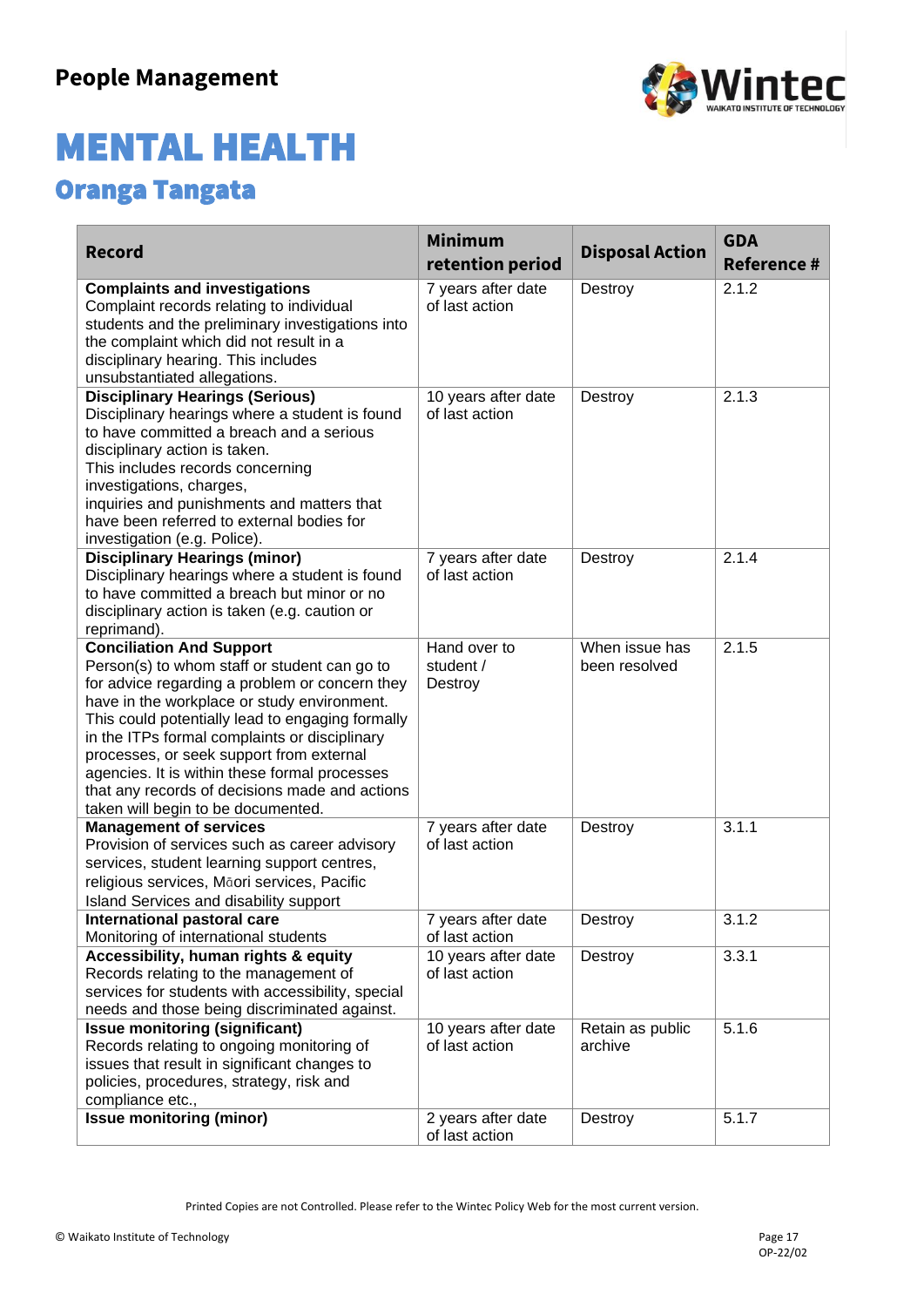

| <b>Record</b>                                                                                                                                                                                                                                                                                                                                                                                                                                                              | <b>Minimum</b><br>retention period    | <b>Disposal Action</b>          | <b>GDA</b><br><b>Reference #</b> |
|----------------------------------------------------------------------------------------------------------------------------------------------------------------------------------------------------------------------------------------------------------------------------------------------------------------------------------------------------------------------------------------------------------------------------------------------------------------------------|---------------------------------------|---------------------------------|----------------------------------|
| <b>Complaints and investigations</b><br>Complaint records relating to individual<br>students and the preliminary investigations into<br>the complaint which did not result in a<br>disciplinary hearing. This includes<br>unsubstantiated allegations.                                                                                                                                                                                                                     | 7 years after date<br>of last action  | Destroy                         | 2.1.2                            |
| <b>Disciplinary Hearings (Serious)</b><br>Disciplinary hearings where a student is found<br>to have committed a breach and a serious<br>disciplinary action is taken.<br>This includes records concerning<br>investigations, charges,<br>inquiries and punishments and matters that<br>have been referred to external bodies for<br>investigation (e.g. Police).                                                                                                           | 10 years after date<br>of last action | Destroy                         | 2.1.3                            |
| <b>Disciplinary Hearings (minor)</b><br>Disciplinary hearings where a student is found<br>to have committed a breach but minor or no<br>disciplinary action is taken (e.g. caution or<br>reprimand).                                                                                                                                                                                                                                                                       | 7 years after date<br>of last action  | Destroy                         | 2.1.4                            |
| <b>Conciliation And Support</b><br>Person(s) to whom staff or student can go to<br>for advice regarding a problem or concern they<br>have in the workplace or study environment.<br>This could potentially lead to engaging formally<br>in the ITPs formal complaints or disciplinary<br>processes, or seek support from external<br>agencies. It is within these formal processes<br>that any records of decisions made and actions<br>taken will begin to be documented. | Hand over to<br>student /<br>Destroy  | When issue has<br>been resolved | 2.1.5                            |
| <b>Management of services</b><br>Provision of services such as career advisory<br>services, student learning support centres,<br>religious services, Māori services, Pacific<br>Island Services and disability support                                                                                                                                                                                                                                                     | 7 years after date<br>of last action  | Destroy                         | 3.1.1                            |
| International pastoral care<br>Monitoring of international students                                                                                                                                                                                                                                                                                                                                                                                                        | 7 years after date<br>of last action  | Destroy                         | 3.1.2                            |
| Accessibility, human rights & equity<br>Records relating to the management of<br>services for students with accessibility, special<br>needs and those being discriminated against.                                                                                                                                                                                                                                                                                         | 10 years after date<br>of last action | Destroy                         | 3.3.1                            |
| <b>Issue monitoring (significant)</b><br>Records relating to ongoing monitoring of<br>issues that result in significant changes to<br>policies, procedures, strategy, risk and<br>compliance etc.,                                                                                                                                                                                                                                                                         | 10 years after date<br>of last action | Retain as public<br>archive     | 5.1.6                            |
| <b>Issue monitoring (minor)</b>                                                                                                                                                                                                                                                                                                                                                                                                                                            | 2 years after date<br>of last action  | Destroy                         | 5.1.7                            |